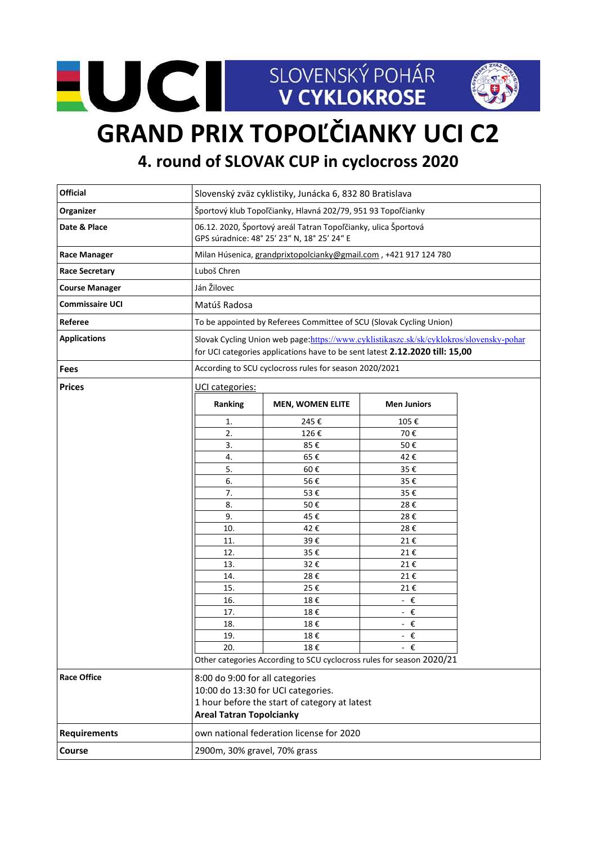



## **GRAND PRIX TOPOĽČIANKY UCI C2**

**4. round of SLOVAK CUP in cyclocross 2020**

| <b>Official</b>        | Slovenský zväz cyklistiky, Junácka 6, 832 80 Bratislava                                                                                                                 |                                                                       |                         |  |
|------------------------|-------------------------------------------------------------------------------------------------------------------------------------------------------------------------|-----------------------------------------------------------------------|-------------------------|--|
| Organizer              | Športový klub Topoľčianky, Hlavná 202/79, 951 93 Topoľčianky                                                                                                            |                                                                       |                         |  |
| Date & Place           | 06.12. 2020, Športový areál Tatran Topoľčianky, ulica Športová<br>GPS súradnice: 48° 25' 23" N, 18° 25' 24" E                                                           |                                                                       |                         |  |
| <b>Race Manager</b>    | Milan Húsenica, grandprixtopolcianky@gmail.com, +421 917 124 780                                                                                                        |                                                                       |                         |  |
| <b>Race Secretary</b>  | Luboš Chren                                                                                                                                                             |                                                                       |                         |  |
| <b>Course Manager</b>  | Ján Žilovec                                                                                                                                                             |                                                                       |                         |  |
| <b>Commissaire UCI</b> | Matúš Radosa                                                                                                                                                            |                                                                       |                         |  |
| Referee                | To be appointed by Referees Committee of SCU (Slovak Cycling Union)                                                                                                     |                                                                       |                         |  |
| <b>Applications</b>    | Slovak Cycling Union web page:https://www.cyklistikaszc.sk/sk/cyklokros/slovensky-pohar<br>for UCI categories applications have to be sent latest 2.12.2020 till: 15,00 |                                                                       |                         |  |
| <b>Fees</b>            | According to SCU cyclocross rules for season 2020/2021                                                                                                                  |                                                                       |                         |  |
| <b>Prices</b>          | UCI categories:                                                                                                                                                         |                                                                       |                         |  |
|                        | Ranking                                                                                                                                                                 | <b>MEN, WOMEN ELITE</b>                                               | <b>Men Juniors</b>      |  |
|                        | 1.                                                                                                                                                                      | 245€                                                                  | 105€                    |  |
|                        | 2.                                                                                                                                                                      | 126€                                                                  | 70€                     |  |
|                        | 3.                                                                                                                                                                      | 85€                                                                   | 50€                     |  |
|                        | 4.                                                                                                                                                                      | 65€                                                                   | 42€                     |  |
|                        | 5.                                                                                                                                                                      | 60€                                                                   | 35€                     |  |
|                        | 6.                                                                                                                                                                      | 56€                                                                   | 35€                     |  |
|                        | 7.                                                                                                                                                                      | 53€                                                                   | 35€                     |  |
|                        | 8.                                                                                                                                                                      | 50€                                                                   | 28€                     |  |
|                        | 9.                                                                                                                                                                      | 45€                                                                   | 28€                     |  |
|                        | 10.<br>11.                                                                                                                                                              | 42€<br>39€                                                            | 28€<br>21€              |  |
|                        | 12.                                                                                                                                                                     | 35€                                                                   | 21€                     |  |
|                        | 13.                                                                                                                                                                     | 32€                                                                   | 21€                     |  |
|                        | 14.                                                                                                                                                                     | 28€                                                                   | 21€                     |  |
|                        | 15.                                                                                                                                                                     | 25€                                                                   | 21€                     |  |
|                        | 16.                                                                                                                                                                     | 18€                                                                   | $ \epsilon$             |  |
|                        | 17.                                                                                                                                                                     | 18€                                                                   | - $\epsilon$            |  |
|                        | 18.                                                                                                                                                                     | 18€                                                                   | - €                     |  |
|                        | 19.                                                                                                                                                                     | 18€                                                                   | $\boldsymbol{\epsilon}$ |  |
|                        | 20.                                                                                                                                                                     | 18€                                                                   | €                       |  |
|                        |                                                                                                                                                                         | Other categories According to SCU cyclocross rules for season 2020/21 |                         |  |
| <b>Race Office</b>     | 8:00 do 9:00 for all categories<br>10:00 do 13:30 for UCI categories.<br>1 hour before the start of category at latest<br><b>Areal Tatran Topolcianky</b>               |                                                                       |                         |  |
| <b>Requirements</b>    | own national federation license for 2020                                                                                                                                |                                                                       |                         |  |
| Course                 | 2900m, 30% gravel, 70% grass                                                                                                                                            |                                                                       |                         |  |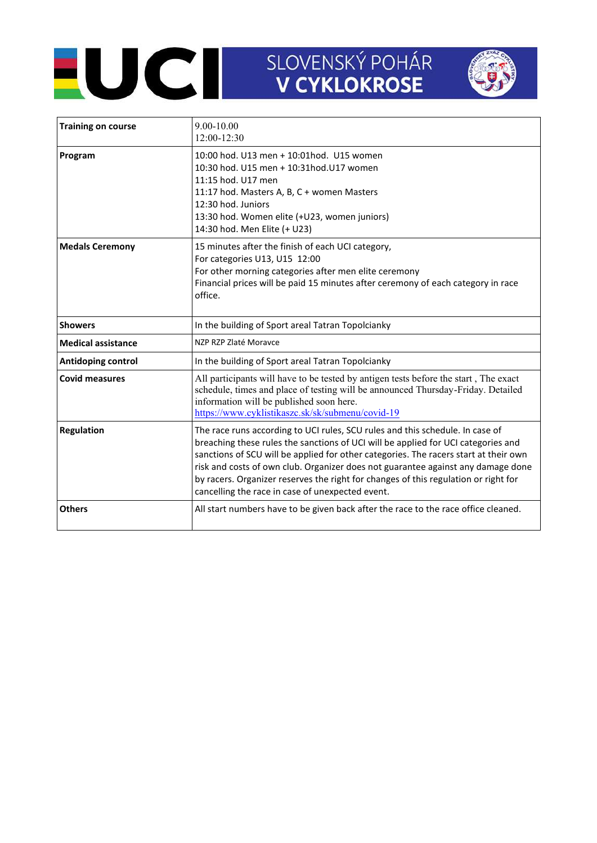## SLOVENSKÝ POHÁR<br>V CYKLOKROSE



| <b>Training on course</b> | $9.00 - 10.00$<br>12:00-12:30                                                                                                                                                                                                                                                                                                                                                                                                                                                             |  |
|---------------------------|-------------------------------------------------------------------------------------------------------------------------------------------------------------------------------------------------------------------------------------------------------------------------------------------------------------------------------------------------------------------------------------------------------------------------------------------------------------------------------------------|--|
| Program                   | 10:00 hod. U13 men + 10:01 hod. U15 women<br>10:30 hod. U15 men + 10:31 hod. U17 women<br>11:15 hod. U17 men<br>11:17 hod. Masters A, B, C + women Masters<br>12:30 hod. Juniors<br>13:30 hod. Women elite (+U23, women juniors)<br>14:30 hod. Men Elite (+ U23)                                                                                                                                                                                                                          |  |
| <b>Medals Ceremony</b>    | 15 minutes after the finish of each UCI category,<br>For categories U13, U15 12:00<br>For other morning categories after men elite ceremony<br>Financial prices will be paid 15 minutes after ceremony of each category in race<br>office.                                                                                                                                                                                                                                                |  |
| <b>Showers</b>            | In the building of Sport areal Tatran Topolcianky                                                                                                                                                                                                                                                                                                                                                                                                                                         |  |
| <b>Medical assistance</b> | NZP RZP Zlaté Moravce                                                                                                                                                                                                                                                                                                                                                                                                                                                                     |  |
| Antidoping control        | In the building of Sport areal Tatran Topolcianky                                                                                                                                                                                                                                                                                                                                                                                                                                         |  |
| <b>Covid measures</b>     | All participants will have to be tested by antigen tests before the start, The exact<br>schedule, times and place of testing will be announced Thursday-Friday. Detailed<br>information will be published soon here.<br>https://www.cyklistikaszc.sk/sk/submenu/covid-19                                                                                                                                                                                                                  |  |
| Regulation                | The race runs according to UCI rules, SCU rules and this schedule. In case of<br>breaching these rules the sanctions of UCI will be applied for UCI categories and<br>sanctions of SCU will be applied for other categories. The racers start at their own<br>risk and costs of own club. Organizer does not guarantee against any damage done<br>by racers. Organizer reserves the right for changes of this regulation or right for<br>cancelling the race in case of unexpected event. |  |
| <b>Others</b>             | All start numbers have to be given back after the race to the race office cleaned.                                                                                                                                                                                                                                                                                                                                                                                                        |  |